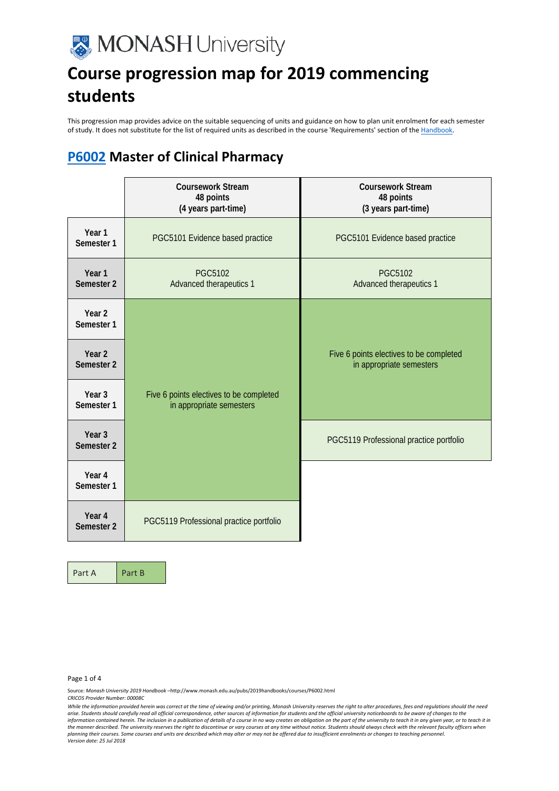

This progression map provides advice on the suitable sequencing of units and guidance on how to plan unit enrolment for each semester of study. It does not substitute for the list of required units as described in the course 'Requirements' section of the Handbook

#### **[P6002](http://www.monash.edu.au/pubs/2019handbooks/courses/P6002.html) Master of Clinical Pharmacy**

|                                 | <b>Coursework Stream</b><br>48 points<br>(4 years part-time)        | <b>Coursework Stream</b><br>48 points<br>(3 years part-time)        |
|---------------------------------|---------------------------------------------------------------------|---------------------------------------------------------------------|
| Year 1<br>Semester 1            | PGC5101 Evidence based practice                                     | PGC5101 Evidence based practice                                     |
| Year 1<br>Semester 2            | <b>PGC5102</b><br>Advanced therapeutics 1                           | <b>PGC5102</b><br>Advanced therapeutics 1                           |
| Year <sub>2</sub><br>Semester 1 |                                                                     |                                                                     |
| Year <sub>2</sub><br>Semester 2 |                                                                     | Five 6 points electives to be completed<br>in appropriate semesters |
| Year <sub>3</sub><br>Semester 1 | Five 6 points electives to be completed<br>in appropriate semesters |                                                                     |
| Year <sub>3</sub><br>Semester 2 |                                                                     | PGC5119 Professional practice portfolio                             |
| Year 4<br>Semester 1            |                                                                     |                                                                     |
| Year <sub>4</sub><br>Semester 2 | PGC5119 Professional practice portfolio                             |                                                                     |

Part A Part B

Page 1 of 4

Source: *Monash University 2019 Handbook –*http://www.monash.edu.au/pubs/2019handbooks/courses/P6002.html

*CRICOS Provider Number: 00008C*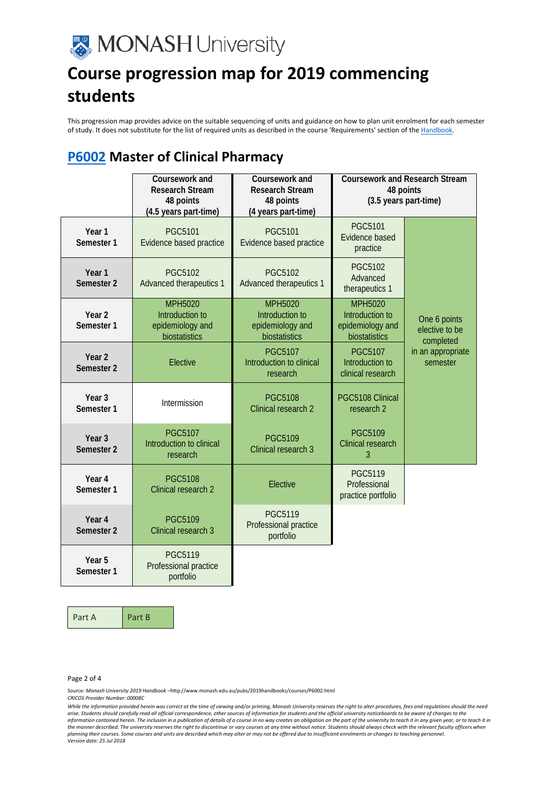

This progression map provides advice on the suitable sequencing of units and guidance on how to plan unit enrolment for each semester of study. It does not substitute for the list of required units as described in the course 'Requirements' section of the Handbook.

### **[P6002](http://www.monash.edu.au/pubs/2019handbooks/courses/P6002.html) Master of Clinical Pharmacy**

|                                            | Coursework and<br><b>Research Stream</b><br>48 points<br>(4.5 years part-time) | Coursework and<br><b>Research Stream</b><br>48 points<br>(4 years part-time) |                                                                        | <b>Coursework and Research Stream</b><br>48 points<br>(3.5 years part-time) |
|--------------------------------------------|--------------------------------------------------------------------------------|------------------------------------------------------------------------------|------------------------------------------------------------------------|-----------------------------------------------------------------------------|
| Year 1<br>Semester 1                       | <b>PGC5101</b><br>Evidence based practice                                      | <b>PGC5101</b><br>Evidence based practice                                    | <b>PGC5101</b><br>Evidence based<br>practice                           |                                                                             |
| Year 1<br>Semester 2                       | <b>PGC5102</b><br>Advanced therapeutics 1                                      | <b>PGC5102</b><br>Advanced therapeutics 1                                    | <b>PGC5102</b><br>Advanced<br>therapeutics 1                           |                                                                             |
| Year <sub>2</sub><br>Semester 1            | <b>MPH5020</b><br>Introduction to<br>epidemiology and<br>biostatistics         | <b>MPH5020</b><br>Introduction to<br>epidemiology and<br>biostatistics       | <b>MPH5020</b><br>Introduction to<br>epidemiology and<br>biostatistics | One 6 points<br>elective to be<br>completed                                 |
| Year <sub>2</sub><br>Semester <sub>2</sub> | Elective                                                                       | <b>PGC5107</b><br>Introduction to clinical<br>research                       | <b>PGC5107</b><br>Introduction to<br>clinical research                 | in an appropriate<br>semester                                               |
| Year <sub>3</sub><br>Semester <sub>1</sub> | Intermission                                                                   | <b>PGC5108</b><br>Clinical research 2                                        | PGC5108 Clinical<br>research <sub>2</sub>                              |                                                                             |
| Year <sub>3</sub><br>Semester 2            | <b>PGC5107</b><br>Introduction to clinical<br>research                         | <b>PGC5109</b><br>Clinical research 3                                        | <b>PGC5109</b><br>Clinical research<br>3                               |                                                                             |
| Year 4<br>Semester 1                       | <b>PGC5108</b><br>Clinical research 2                                          | Elective                                                                     | <b>PGC5119</b><br>Professional<br>practice portfolio                   |                                                                             |
| Year <sub>4</sub><br>Semester 2            | <b>PGC5109</b><br>Clinical research 3                                          | <b>PGC5119</b><br>Professional practice<br>portfolio                         |                                                                        |                                                                             |
| Year 5<br>Semester 1                       | <b>PGC5119</b><br>Professional practice<br>portfolio                           |                                                                              |                                                                        |                                                                             |

Part A Part B

Page 2 of 4

Source: *Monash University 2019 Handbook –*http://www.monash.edu.au/pubs/2019handbooks/courses/P6002.html

*CRICOS Provider Number: 00008C*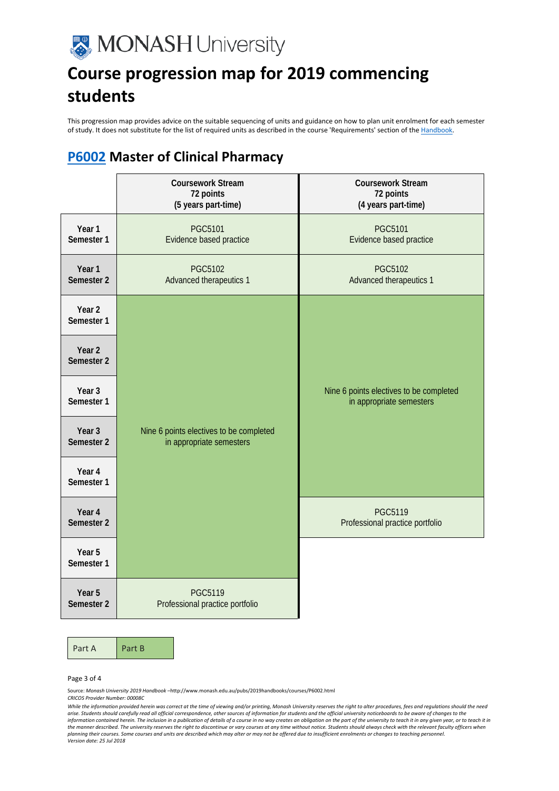

This progression map provides advice on the suitable sequencing of units and guidance on how to plan unit enrolment for each semester of study. It does not substitute for the list of required units as described in the course 'Requirements' section of the Handbook.

### **[P6002](http://www.monash.edu.au/pubs/2019handbooks/courses/P6002.html) Master of Clinical Pharmacy**

|                                 | <b>Coursework Stream</b><br>72 points<br>(5 years part-time)        | <b>Coursework Stream</b><br>72 points<br>(4 years part-time)        |
|---------------------------------|---------------------------------------------------------------------|---------------------------------------------------------------------|
| Year 1<br>Semester 1            | <b>PGC5101</b><br>Evidence based practice                           | <b>PGC5101</b><br>Evidence based practice                           |
| Year 1<br>Semester <sub>2</sub> | <b>PGC5102</b><br>Advanced therapeutics 1                           | <b>PGC5102</b><br>Advanced therapeutics 1                           |
| Year <sub>2</sub><br>Semester 1 |                                                                     |                                                                     |
| Year <sub>2</sub><br>Semester 2 |                                                                     |                                                                     |
| Year <sub>3</sub><br>Semester 1 |                                                                     | Nine 6 points electives to be completed<br>in appropriate semesters |
| Year <sub>3</sub><br>Semester 2 | Nine 6 points electives to be completed<br>in appropriate semesters |                                                                     |
| Year 4<br>Semester 1            |                                                                     |                                                                     |
| Year 4<br>Semester 2            |                                                                     | <b>PGC5119</b><br>Professional practice portfolio                   |
| Year 5<br>Semester 1            |                                                                     |                                                                     |
| Year 5<br>Semester 2            | <b>PGC5119</b><br>Professional practice portfolio                   |                                                                     |

Part A Part B

#### Page 3 of 4

Source: *Monash University 2019 Handbook –*http://www.monash.edu.au/pubs/2019handbooks/courses/P6002.html *CRICOS Provider Number: 00008C*